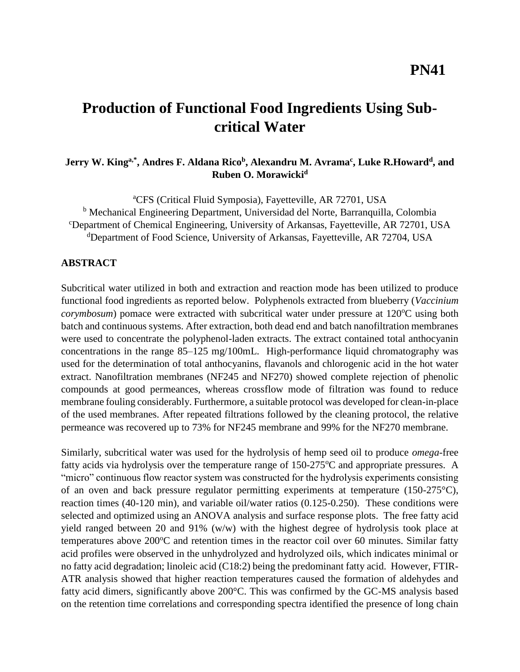# **Production of Functional Food Ingredients Using Subcritical Water**

## **Jerry W. Kinga,\*, Andres F. Aldana Rico<sup>b</sup> , Alexandru M. Avrama<sup>c</sup> , Luke R.Howard<sup>d</sup> , and Ruben O. Morawicki<sup>d</sup>**

<sup>a</sup>CFS (Critical Fluid Symposia), Fayetteville, AR 72701, USA <sup>b</sup> Mechanical Engineering Department, Universidad del Norte, Barranquilla, Colombia <sup>c</sup>Department of Chemical Engineering, University of Arkansas, Fayetteville, AR 72701, USA <sup>d</sup>Department of Food Science, University of Arkansas, Fayetteville, AR 72704, USA

#### **ABSTRACT**

Subcritical water utilized in both and extraction and reaction mode has been utilized to produce functional food ingredients as reported below. Polyphenols extracted from blueberry (*Vaccinium corymbosum*) pomace were extracted with subcritical water under pressure at 120<sup>o</sup>C using both batch and continuous systems. After extraction, both dead end and batch nanofiltration membranes were used to concentrate the polyphenol-laden extracts. The extract contained total anthocyanin concentrations in the range 85–125 mg/100mL. High-performance liquid chromatography was used for the determination of total anthocyanins, flavanols and chlorogenic acid in the hot water extract. Nanofiltration membranes (NF245 and NF270) showed complete rejection of phenolic compounds at good permeances, whereas crossflow mode of filtration was found to reduce membrane fouling considerably. Furthermore, a suitable protocol was developed for clean-in-place of the used membranes. After repeated filtrations followed by the cleaning protocol, the relative permeance was recovered up to 73% for NF245 membrane and 99% for the NF270 membrane.

Similarly, subcritical water was used for the hydrolysis of hemp seed oil to produce *omega*-free fatty acids via hydrolysis over the temperature range of  $150-275^{\circ}$ C and appropriate pressures. A "micro" continuous flow reactor system was constructed for the hydrolysis experiments consisting of an oven and back pressure regulator permitting experiments at temperature (150-275°C), reaction times (40-120 min), and variable oil/water ratios (0.125-0.250). These conditions were selected and optimized using an ANOVA analysis and surface response plots. The free fatty acid yield ranged between 20 and 91% (w/w) with the highest degree of hydrolysis took place at temperatures above  $200^{\circ}$ C and retention times in the reactor coil over 60 minutes. Similar fatty acid profiles were observed in the unhydrolyzed and hydrolyzed oils, which indicates minimal or no fatty acid degradation; linoleic acid (C18:2) being the predominant fatty acid. However, FTIR-ATR analysis showed that higher reaction temperatures caused the formation of aldehydes and fatty acid dimers, significantly above 200°C. This was confirmed by the GC-MS analysis based on the retention time correlations and corresponding spectra identified the presence of long chain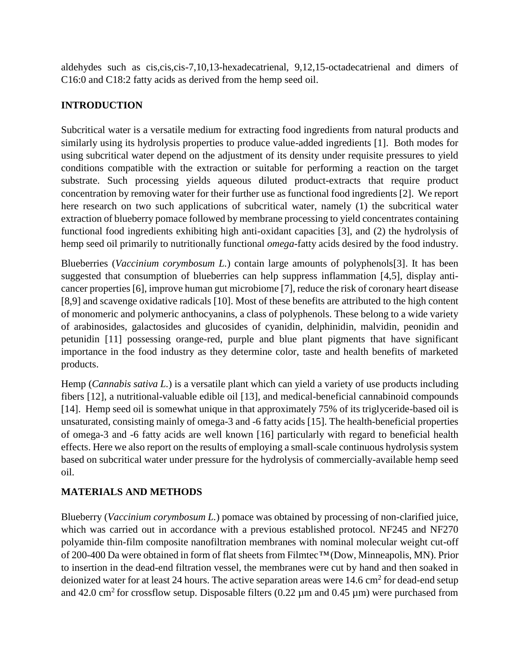aldehydes such as cis,cis,cis-7,10,13-hexadecatrienal, 9,12,15-octadecatrienal and dimers of C16:0 and C18:2 fatty acids as derived from the hemp seed oil.

## **INTRODUCTION**

Subcritical water is a versatile medium for extracting food ingredients from natural products and similarly using its hydrolysis properties to produce value-added ingredients [1]. Both modes for using subcritical water depend on the adjustment of its density under requisite pressures to yield conditions compatible with the extraction or suitable for performing a reaction on the target substrate. Such processing yields aqueous diluted product-extracts that require product concentration by removing water for their further use as functional food ingredients [2]. We report here research on two such applications of subcritical water, namely (1) the subcritical water extraction of blueberry pomace followed by membrane processing to yield concentrates containing functional food ingredients exhibiting high anti-oxidant capacities [3], and (2) the hydrolysis of hemp seed oil primarily to nutritionally functional *omega*-fatty acids desired by the food industry.

Blueberries (*Vaccinium corymbosum L.*) contain large amounts of polyphenols[3]. It has been suggested that consumption of blueberries can help suppress inflammation [4,5], display anticancer properties [6], improve human gut microbiome [7], reduce the risk of coronary heart disease [8,9] and scavenge oxidative radicals [10]. Most of these benefits are attributed to the high content of monomeric and polymeric anthocyanins, a class of polyphenols. These belong to a wide variety of arabinosides, galactosides and glucosides of cyanidin, delphinidin, malvidin, peonidin and petunidin [11] possessing orange-red, purple and blue plant pigments that have significant importance in the food industry as they determine color, taste and health benefits of marketed products.

Hemp (*Cannabis sativa L.*) is a versatile plant which can yield a variety of use products including fibers [12], a nutritional-valuable edible oil [13], and medical-beneficial cannabinoid compounds [14]. Hemp seed oil is somewhat unique in that approximately 75% of its triglyceride-based oil is unsaturated, consisting mainly of omega-3 and -6 fatty acids [15]. The health-beneficial properties of omega-3 and -6 fatty acids are well known [16] particularly with regard to beneficial health effects. Here we also report on the results of employing a small-scale continuous hydrolysis system based on subcritical water under pressure for the hydrolysis of commercially-available hemp seed oil.

### **MATERIALS AND METHODS**

Blueberry (*Vaccinium corymbosum L.*) pomace was obtained by processing of non-clarified juice, which was carried out in accordance with a previous established protocol. NF245 and NF270 polyamide thin-film composite nanofiltration membranes with nominal molecular weight cut-off of 200-400 Da were obtained in form of flat sheets from Filmtec*™* (Dow, Minneapolis, MN). Prior to insertion in the dead-end filtration vessel, the membranes were cut by hand and then soaked in deionized water for at least 24 hours. The active separation areas were 14.6 cm<sup>2</sup> for dead-end setup and 42.0 cm<sup>2</sup> for crossflow setup. Disposable filters (0.22  $\mu$ m and 0.45  $\mu$ m) were purchased from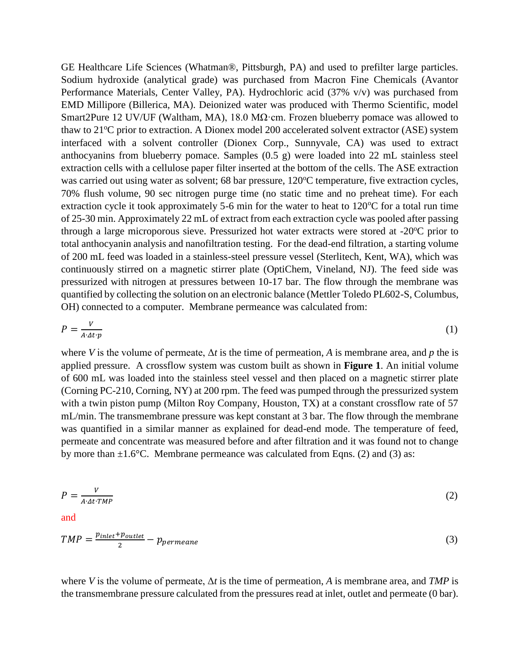GE Healthcare Life Sciences (Whatman®, Pittsburgh, PA) and used to prefilter large particles. Sodium hydroxide (analytical grade) was purchased from Macron Fine Chemicals (Avantor Performance Materials, Center Valley, PA). Hydrochloric acid (37% v/v) was purchased from EMD Millipore (Billerica, MA). Deionized water was produced with Thermo Scientific, model Smart2Pure 12 UV/UF (Waltham, MA), 18.0 M $\Omega$ ·cm. Frozen blueberry pomace was allowed to thaw to  $21^{\circ}$ C prior to extraction. A Dionex model 200 accelerated solvent extractor (ASE) system interfaced with a solvent controller (Dionex Corp., Sunnyvale, CA) was used to extract anthocyanins from blueberry pomace. Samples (0.5 g) were loaded into 22 mL stainless steel extraction cells with a cellulose paper filter inserted at the bottom of the cells. The ASE extraction was carried out using water as solvent; 68 bar pressure, 120<sup>o</sup>C temperature, five extraction cycles, 70% flush volume, 90 sec nitrogen purge time (no static time and no preheat time). For each extraction cycle it took approximately 5-6 min for the water to heat to  $120^{\circ}$ C for a total run time of 25-30 min. Approximately 22 mL of extract from each extraction cycle was pooled after passing through a large microporous sieve. Pressurized hot water extracts were stored at  $-20^{\circ}$ C prior to total anthocyanin analysis and nanofiltration testing. For the dead-end filtration, a starting volume of 200 mL feed was loaded in a stainless-steel pressure vessel (Sterlitech, Kent, WA), which was continuously stirred on a magnetic stirrer plate (OptiChem, Vineland, NJ). The feed side was pressurized with nitrogen at pressures between 10-17 bar. The flow through the membrane was quantified by collecting the solution on an electronic balance (Mettler Toledo PL602-S, Columbus, OH) connected to a computer. Membrane permeance was calculated from:

$$
P = \frac{V}{A \cdot \Delta t \cdot p} \tag{1}
$$

where *V* is the volume of permeate, Δ*t* is the time of permeation, *A* is membrane area, and *p* the is applied pressure. A crossflow system was custom built as shown in **[Figure 1](#page-3-0)**. An initial volume of 600 mL was loaded into the stainless steel vessel and then placed on a magnetic stirrer plate (Corning PC-210, Corning, NY) at 200 rpm. The feed was pumped through the pressurized system with a twin piston pump (Milton Roy Company, Houston, TX) at a constant crossflow rate of 57 mL/min. The transmembrane pressure was kept constant at 3 bar. The flow through the membrane was quantified in a similar manner as explained for dead-end mode. The temperature of feed, permeate and concentrate was measured before and after filtration and it was found not to change by more than  $\pm 1.6^{\circ}$ C. Membrane permeance was calculated from Eqns. (2) and (3) as:

$$
P = \frac{V}{A \cdot \Delta t \cdot TMP} \tag{2}
$$

and

$$
TMP = \frac{p_{inlet} + p_{outlet}}{2} - p_{permeane}
$$
\n<sup>(3)</sup>

where *V* is the volume of permeate, Δ*t* is the time of permeation, *A* is membrane area, and *TMP* is the transmembrane pressure calculated from the pressures read at inlet, outlet and permeate (0 bar).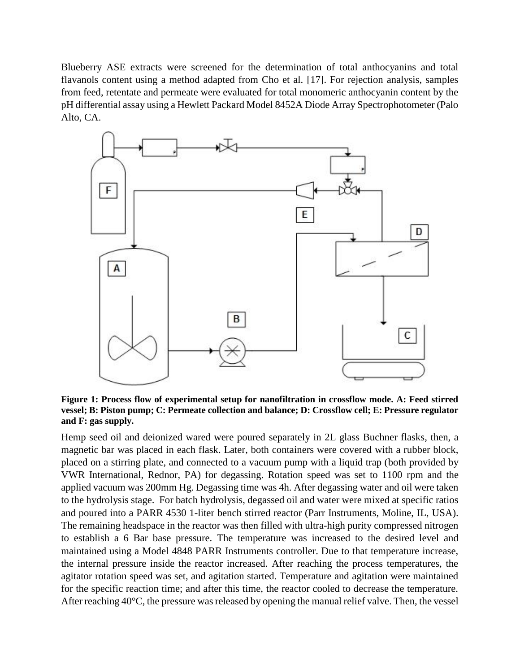Blueberry ASE extracts were screened for the determination of total anthocyanins and total flavanols content using a method adapted from Cho et al. [17]. For rejection analysis, samples from feed, retentate and permeate were evaluated for total monomeric anthocyanin content by the pH differential assay using a Hewlett Packard Model 8452A Diode Array Spectrophotometer (Palo Alto, CA.



<span id="page-3-0"></span>**Figure 1: Process flow of experimental setup for nanofiltration in crossflow mode. A: Feed stirred vessel; B: Piston pump; C: Permeate collection and balance; D: Crossflow cell; E: Pressure regulator and F: gas supply.**

Hemp seed oil and deionized wared were poured separately in 2L glass Buchner flasks, then, a magnetic bar was placed in each flask. Later, both containers were covered with a rubber block, placed on a stirring plate, and connected to a vacuum pump with a liquid trap (both provided by VWR International, Rednor, PA) for degassing. Rotation speed was set to 1100 rpm and the applied vacuum was 200mm Hg. Degassing time was 4h. After degassing water and oil were taken to the hydrolysis stage. For batch hydrolysis, degassed oil and water were mixed at specific ratios and poured into a PARR 4530 1-liter bench stirred reactor (Parr Instruments, Moline, IL, USA). The remaining headspace in the reactor was then filled with ultra-high purity compressed nitrogen to establish a 6 Bar base pressure. The temperature was increased to the desired level and maintained using a Model 4848 PARR Instruments controller. Due to that temperature increase, the internal pressure inside the reactor increased. After reaching the process temperatures, the agitator rotation speed was set, and agitation started. Temperature and agitation were maintained for the specific reaction time; and after this time, the reactor cooled to decrease the temperature. After reaching 40°C, the pressure was released by opening the manual relief valve. Then, the vessel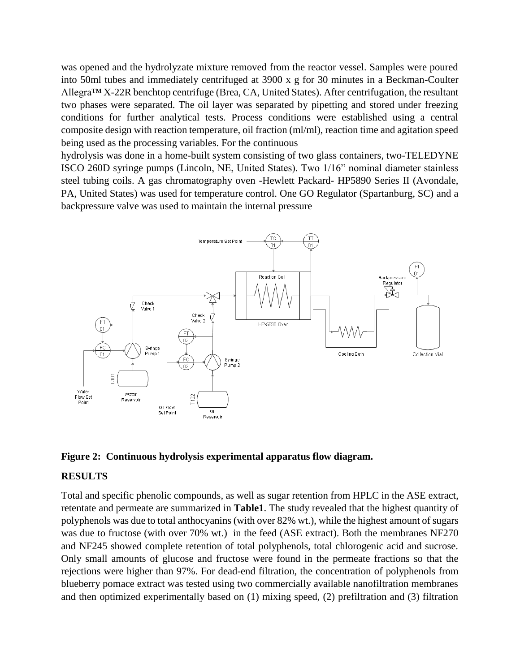was opened and the hydrolyzate mixture removed from the reactor vessel. Samples were poured into 50ml tubes and immediately centrifuged at 3900 x g for 30 minutes in a Beckman-Coulter Allegra™ X-22R benchtop centrifuge (Brea, CA, United States). After centrifugation, the resultant two phases were separated. The oil layer was separated by pipetting and stored under freezing conditions for further analytical tests. Process conditions were established using a central composite design with reaction temperature, oil fraction (ml/ml), reaction time and agitation speed being used as the processing variables. For the continuous

hydrolysis was done in a home-built system consisting of two glass containers, two-TELEDYNE ISCO 260D syringe pumps (Lincoln, NE, United States). Two 1/16" nominal diameter stainless steel tubing coils. A gas chromatography oven -Hewlett Packard- HP5890 Series II (Avondale, PA, United States) was used for temperature control. One GO Regulator (Spartanburg, SC) and a backpressure valve was used to maintain the internal pressure





#### **RESULTS**

Total and specific phenolic compounds, as well as sugar retention from HPLC in the ASE extract, retentate and permeate are summarized in **[Table1](#page-5-0)**. The study revealed that the highest quantity of polyphenols was due to total anthocyanins (with over 82% wt.), while the highest amount of sugars was due to fructose (with over 70% wt.) in the feed (ASE extract). Both the membranes NF270 and NF245 showed complete retention of total polyphenols, total chlorogenic acid and sucrose. Only small amounts of glucose and fructose were found in the permeate fractions so that the rejections were higher than 97%. For dead-end filtration, the concentration of polyphenols from blueberry pomace extract was tested using two commercially available nanofiltration membranes and then optimized experimentally based on (1) mixing speed, (2) prefiltration and (3) filtration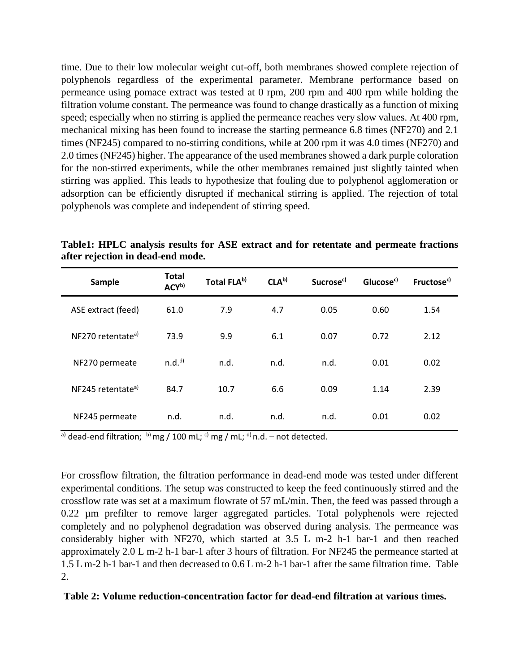time. Due to their low molecular weight cut-off, both membranes showed complete rejection of polyphenols regardless of the experimental parameter. Membrane performance based on permeance using pomace extract was tested at 0 rpm, 200 rpm and 400 rpm while holding the filtration volume constant. The permeance was found to change drastically as a function of mixing speed; especially when no stirring is applied the permeance reaches very slow values. At 400 rpm, mechanical mixing has been found to increase the starting permeance 6.8 times (NF270) and 2.1 times (NF245) compared to no-stirring conditions, while at 200 rpm it was 4.0 times (NF270) and 2.0 times (NF245) higher. The appearance of the used membranes showed a dark purple coloration for the non-stirred experiments, while the other membranes remained just slightly tainted when stirring was applied. This leads to hypothesize that fouling due to polyphenol agglomeration or adsorption can be efficiently disrupted if mechanical stirring is applied. The rejection of total polyphenols was complete and independent of stirring speed.

| Sample                        | <b>Total</b><br>ACY <sup>b)</sup> | Total FLAb) | CLA <sup>b</sup> | Sucrose <sup>c)</sup> | Glucose <sup>c)</sup> | Fructose <sup>c)</sup> |
|-------------------------------|-----------------------------------|-------------|------------------|-----------------------|-----------------------|------------------------|
| ASE extract (feed)            | 61.0                              | 7.9         | 4.7              | 0.05                  | 0.60                  | 1.54                   |
| NF270 retentate <sup>a)</sup> | 73.9                              | 9.9         | 6.1              | 0.07                  | 0.72                  | 2.12                   |
| NF270 permeate                | n.d. <sup>d</sup>                 | n.d.        | n.d.             | n.d.                  | 0.01                  | 0.02                   |
| NF245 retentate <sup>a)</sup> | 84.7                              | 10.7        | 6.6              | 0.09                  | 1.14                  | 2.39                   |
| NF245 permeate                | n.d.                              | n.d.        | n.d.             | n.d.                  | 0.01                  | 0.02                   |

<span id="page-5-0"></span>**Table1: HPLC analysis results for ASE extract and for retentate and permeate fractions after rejection in dead-end mode.**

 $\sigma$ ) dead-end filtration; b) mg / 100 mL; c) mg / mL; <sup>d)</sup> n.d. – not detected.

For crossflow filtration, the filtration performance in dead-end mode was tested under different experimental conditions. The setup was constructed to keep the feed continuously stirred and the crossflow rate was set at a maximum flowrate of 57 mL/min. Then, the feed was passed through a 0.22 µm prefilter to remove larger aggregated particles. Total polyphenols were rejected completely and no polyphenol degradation was observed during analysis. The permeance was considerably higher with NF270, which started at 3.5 L m-2 h-1 bar-1 and then reached approximately 2.0 L m-2 h-1 bar-1 after 3 hours of filtration. For NF245 the permeance started at 1.5 L m-2 h-1 bar-1 and then decreased to 0.6 L m-2 h-1 bar-1 after the same filtration time. Table  $2<sub>1</sub>$ 

#### **Table 2: Volume reduction-concentration factor for dead-end filtration at various times.**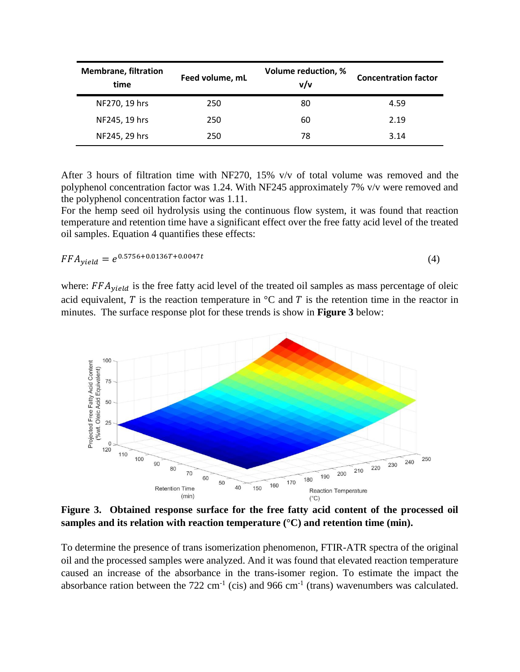| <b>Membrane, filtration</b><br>time | Feed volume, mL | Volume reduction, %<br>v/v | <b>Concentration factor</b> |
|-------------------------------------|-----------------|----------------------------|-----------------------------|
| NF270, 19 hrs                       | 250             | 80                         | 4.59                        |
| NF245, 19 hrs                       | 250             | 60                         | 2.19                        |
| NF245, 29 hrs                       | 250             | 78                         | 3.14                        |

After 3 hours of filtration time with NF270, 15%  $v/v$  of total volume was removed and the polyphenol concentration factor was 1.24. With NF245 approximately 7% v/v were removed and the polyphenol concentration factor was 1.11.

For the hemp seed oil hydrolysis using the continuous flow system, it was found that reaction temperature and retention time have a significant effect over the free fatty acid level of the treated oil samples. Equation 4 quantifies these effects:

$$
FFA_{yield} = e^{0.5756 + 0.0136T + 0.0047t}
$$
\n
$$
\tag{4}
$$

where:  $FFA_{yield}$  is the free fatty acid level of the treated oil samples as mass percentage of oleic acid equivalent, T is the reaction temperature in  ${}^{\circ}C$  and T is the retention time in the reactor in minutes. The surface response plot for these trends is show in **Figure 3** below:



**Figure 3. Obtained response surface for the free fatty acid content of the processed oil samples and its relation with reaction temperature (°C) and retention time (min).**

To determine the presence of trans isomerization phenomenon, FTIR-ATR spectra of the original oil and the processed samples were analyzed. And it was found that elevated reaction temperature caused an increase of the absorbance in the trans-isomer region. To estimate the impact the absorbance ration between the  $722 \text{ cm}^{-1}$  (cis) and 966 cm<sup>-1</sup> (trans) wavenumbers was calculated.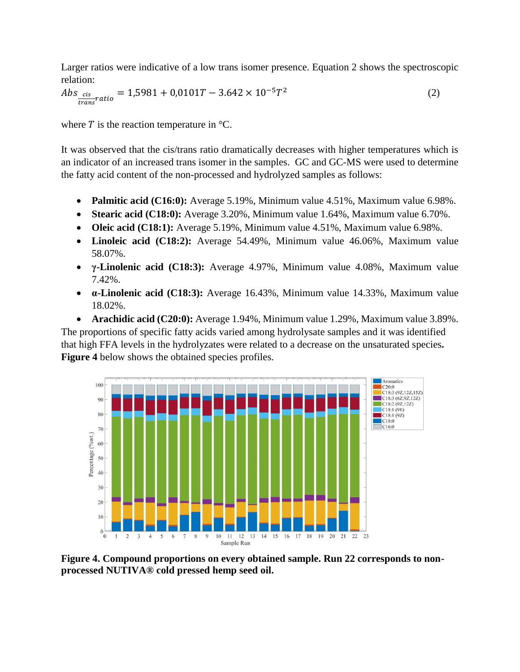Larger ratios were indicative of a low trans isomer presence. Equation 2 shows the spectroscopic relation:

$$
Abs_{\frac{cis}{trans}ratio} = 1,5981 + 0,0101T - 3.642 \times 10^{-5}T^2
$$
\n(2)

where  $T$  is the reaction temperature in  $\mathrm{C}$ .

It was observed that the cis/trans ratio dramatically decreases with higher temperatures which is an indicator of an increased trans isomer in the samples. GC and GC-MS were used to determine the fatty acid content of the non-processed and hydrolyzed samples as follows:

- **Palmitic acid (C16:0):** Average 5.19%, Minimum value 4.51%, Maximum value 6.98%.
- **Stearic acid (C18:0):** Average 3.20%, Minimum value 1.64%, Maximum value 6.70%.
- **Oleic acid (C18:1):** Average 5.19%, Minimum value 4.51%, Maximum value 6.98%.
- **Linoleic acid (C18:2):** Average 54.49%, Minimum value 46.06%, Maximum value 58.07%.
- **γ-Linolenic acid (C18:3):** Average 4.97%, Minimum value 4.08%, Maximum value 7.42%.
- **α-Linolenic acid (C18:3):** Average 16.43%, Minimum value 14.33%, Maximum value 18.02%.

 **Arachidic acid (C20:0):** Average 1.94%, Minimum value 1.29%, Maximum value 3.89%. The proportions of specific fatty acids varied among hydrolysate samples and it was identified that high FFA levels in the hydrolyzates were related to a decrease on the unsaturated species**. Figure 4** below shows the obtained species profiles.



**Figure 4. Compound proportions on every obtained sample. Run 22 corresponds to nonprocessed NUTIVA® cold pressed hemp seed oil.**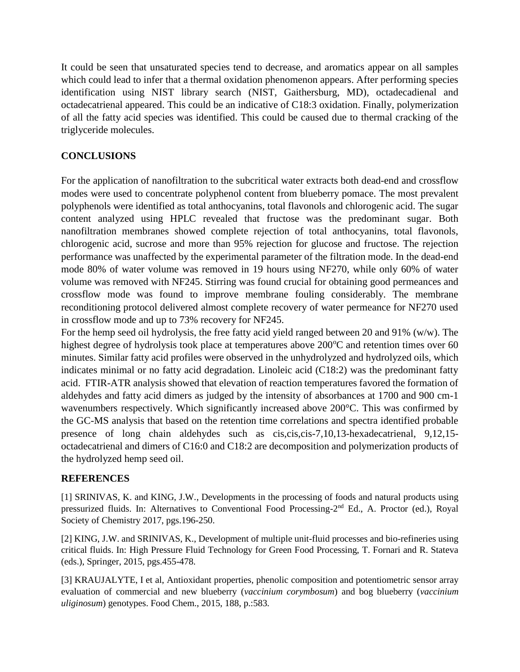It could be seen that unsaturated species tend to decrease, and aromatics appear on all samples which could lead to infer that a thermal oxidation phenomenon appears. After performing species identification using NIST library search (NIST, Gaithersburg, MD), octadecadienal and octadecatrienal appeared. This could be an indicative of C18:3 oxidation. Finally, polymerization of all the fatty acid species was identified. This could be caused due to thermal cracking of the triglyceride molecules.

## **CONCLUSIONS**

For the application of nanofiltration to the subcritical water extracts both dead-end and crossflow modes were used to concentrate polyphenol content from blueberry pomace. The most prevalent polyphenols were identified as total anthocyanins, total flavonols and chlorogenic acid. The sugar content analyzed using HPLC revealed that fructose was the predominant sugar. Both nanofiltration membranes showed complete rejection of total anthocyanins, total flavonols, chlorogenic acid, sucrose and more than 95% rejection for glucose and fructose. The rejection performance was unaffected by the experimental parameter of the filtration mode. In the dead-end mode 80% of water volume was removed in 19 hours using NF270, while only 60% of water volume was removed with NF245. Stirring was found crucial for obtaining good permeances and crossflow mode was found to improve membrane fouling considerably. The membrane reconditioning protocol delivered almost complete recovery of water permeance for NF270 used in crossflow mode and up to 73% recovery for NF245.

For the hemp seed oil hydrolysis, the free fatty acid yield ranged between 20 and 91% (w/w). The highest degree of hydrolysis took place at temperatures above  $200^{\circ}$ C and retention times over 60 minutes. Similar fatty acid profiles were observed in the unhydrolyzed and hydrolyzed oils, which indicates minimal or no fatty acid degradation. Linoleic acid (C18:2) was the predominant fatty acid. FTIR-ATR analysis showed that elevation of reaction temperatures favored the formation of aldehydes and fatty acid dimers as judged by the intensity of absorbances at 1700 and 900 cm-1 wavenumbers respectively. Which significantly increased above 200°C. This was confirmed by the GC-MS analysis that based on the retention time correlations and spectra identified probable presence of long chain aldehydes such as cis,cis,cis-7,10,13-hexadecatrienal, 9,12,15 octadecatrienal and dimers of C16:0 and C18:2 are decomposition and polymerization products of the hydrolyzed hemp seed oil.

### **REFERENCES**

[1] SRINIVAS, K. and KING, J.W., Developments in the processing of foods and natural products using pressurized fluids. In: Alternatives to Conventional Food Processing-2<sup>nd</sup> Ed., A. Proctor (ed.), Royal Society of Chemistry 2017, pgs.196-250.

[2] KING, J.W. and SRINIVAS, K., Development of multiple unit-fluid processes and bio-refineries using critical fluids. In: High Pressure Fluid Technology for Green Food Processing, T. Fornari and R. Stateva (eds.), Springer, 2015, pgs.455-478.

[3] KRAUJALYTE, I et al, Antioxidant properties, phenolic composition and potentiometric sensor array evaluation of commercial and new blueberry (*vaccinium corymbosum*) and bog blueberry (*vaccinium uliginosum*) genotypes. Food Chem., 2015, 188, p.:583.